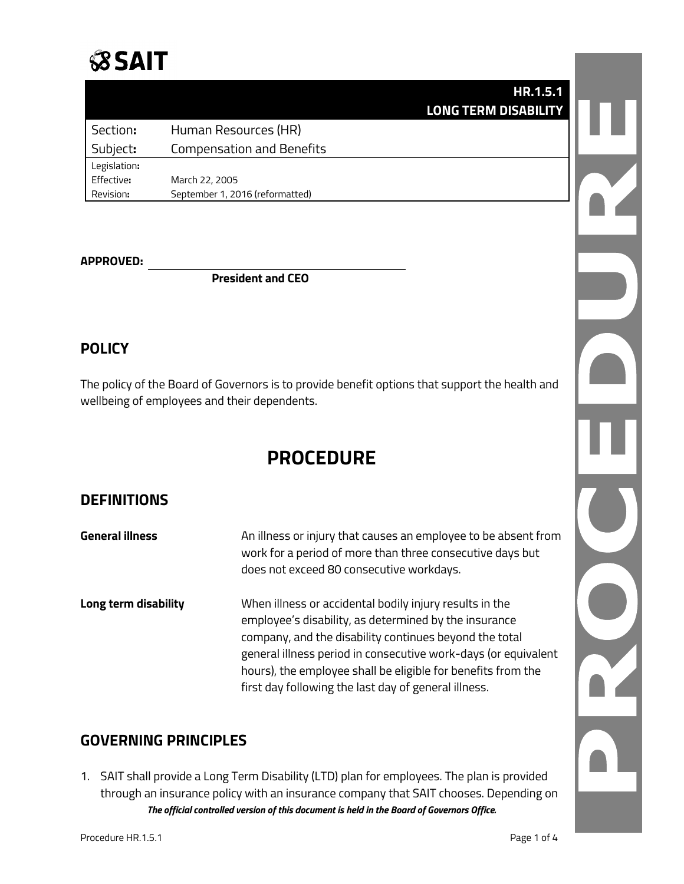# **SSAIT**

|              | HR.1.5.1                         |  |
|--------------|----------------------------------|--|
|              | <b>LONG TERM DISABILITY</b>      |  |
| Section:     | Human Resources (HR)             |  |
| Subject:     | <b>Compensation and Benefits</b> |  |
| Legislation: |                                  |  |
| Effective:   | March 22, 2005                   |  |
| Revision:    | September 1, 2016 (reformatted)  |  |

#### **APPROVED:**

**President and CEO**

## **POLICY**

The policy of the Board of Governors is to provide benefit options that support the health and wellbeing of employees and their dependents.

## **PROCEDURE**

## **DEFINITIONS**

| General illness      | An illness or injury that causes an employee to be absent from<br>work for a period of more than three consecutive days but<br>does not exceed 80 consecutive workdays.                                                                                                                                                                                              |
|----------------------|----------------------------------------------------------------------------------------------------------------------------------------------------------------------------------------------------------------------------------------------------------------------------------------------------------------------------------------------------------------------|
| Long term disability | When illness or accidental bodily injury results in the<br>employee's disability, as determined by the insurance<br>company, and the disability continues beyond the total<br>general illness period in consecutive work-days (or equivalent<br>hours), the employee shall be eligible for benefits from the<br>first day following the last day of general illness. |

## **GOVERNING PRINCIPLES**

*The official controlled version of this document is held in the Board of Governors Office.* 1. SAIT shall provide a Long Term Disability (LTD) plan for employees. The plan is provided through an insurance policy with an insurance company that SAIT chooses. Depending on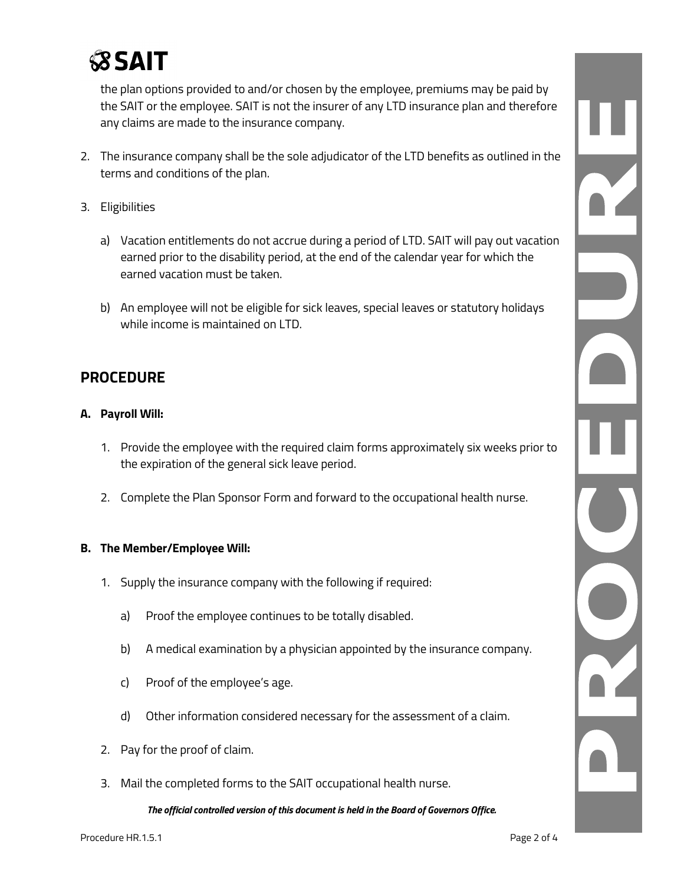

the plan options provided to and/or chosen by the employee, premiums may be paid by the SAIT or the employee. SAIT is not the insurer of any LTD insurance plan and therefore any claims are made to the insurance company.

- 2. The insurance company shall be the sole adjudicator of the LTD benefits as outlined in the terms and conditions of the plan.
- 3. Eligibilities
	- a) Vacation entitlements do not accrue during a period of LTD. SAIT will pay out vacation earned prior to the disability period, at the end of the calendar year for which the earned vacation must be taken.
	- b) An employee will not be eligible for sick leaves, special leaves or statutory holidays while income is maintained on LTD.

## **PROCEDURE**

#### **A. Payroll Will:**

- 1. Provide the employee with the required claim forms approximately six weeks prior to the expiration of the general sick leave period.
- 2. Complete the Plan Sponsor Form and forward to the occupational health nurse.

#### **B. The Member/Employee Will:**

- 1. Supply the insurance company with the following if required:
	- a) Proof the employee continues to be totally disabled.
	- b) A medical examination by a physician appointed by the insurance company.
	- c) Proof of the employee's age.
	- d) Other information considered necessary for the assessment of a claim.
- 2. Pay for the proof of claim.
- 3. Mail the completed forms to the SAIT occupational health nurse.

*The official controlled version of this document is held in the Board of Governors Office.*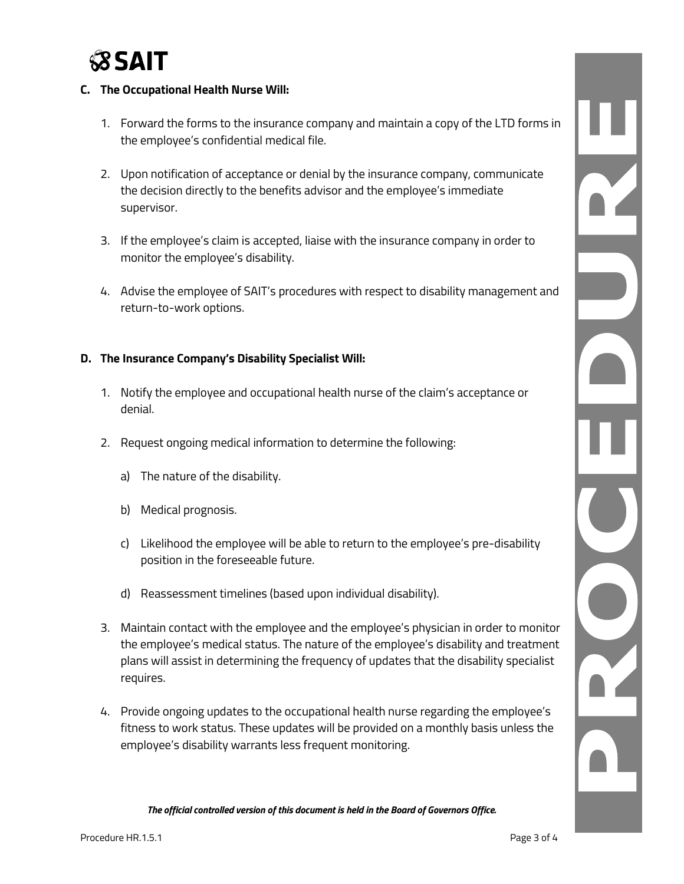

#### **C. The Occupational Health Nurse Will:**

- 1. Forward the forms to the insurance company and maintain a copy of the LTD forms in the employee's confidential medical file.
- 2. Upon notification of acceptance or denial by the insurance company, communicate the decision directly to the benefits advisor and the employee's immediate supervisor.
- 3. If the employee's claim is accepted, liaise with the insurance company in order to monitor the employee's disability.
- 4. Advise the employee of SAIT's procedures with respect to disability management and return-to-work options.

#### **D. The Insurance Company's Disability Specialist Will:**

- 1. Notify the employee and occupational health nurse of the claim's acceptance or denial.
- 2. Request ongoing medical information to determine the following:
	- a) The nature of the disability.
	- b) Medical prognosis.
	- c) Likelihood the employee will be able to return to the employee's pre-disability position in the foreseeable future.
	- d) Reassessment timelines (based upon individual disability).
- 3. Maintain contact with the employee and the employee's physician in order to monitor the employee's medical status. The nature of the employee's disability and treatment plans will assist in determining the frequency of updates that the disability specialist requires.
- 4. Provide ongoing updates to the occupational health nurse regarding the employee's fitness to work status. These updates will be provided on a monthly basis unless the employee's disability warrants less frequent monitoring.

*The official controlled version of this document is held in the Board of Governors Office.*